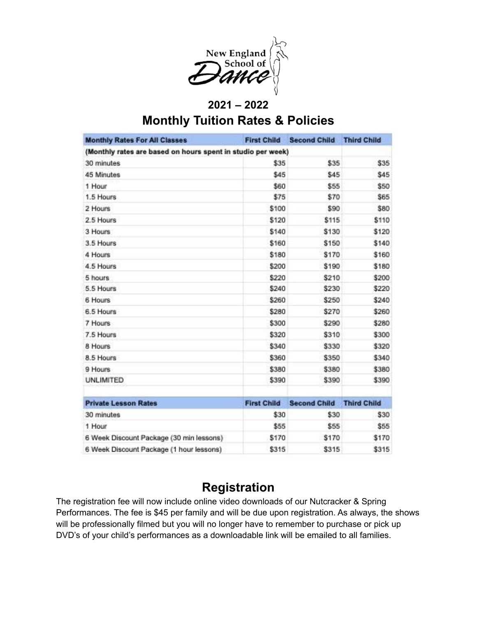

### **2021 – 2022 Monthly Tuition Rates & Policies**

| <b>Monthly Rates For All Classes</b>                        | <b>First Child</b> | <b>Second Child</b> | <b>Third Child</b> |
|-------------------------------------------------------------|--------------------|---------------------|--------------------|
| (Monthly rates are based on hours spent in studio per week) |                    |                     |                    |
| 30 minutes                                                  | \$35               | \$35                | \$35               |
| 45 Minutes                                                  | \$45               | \$45                | \$45               |
| 1 Hour                                                      | \$60               | \$55                | \$50               |
| 1.5 Hours                                                   | \$75               | \$70                | \$65               |
| 2 Hours                                                     | \$100              | \$90                | \$80               |
| 2.5 Hours                                                   | \$120              | \$115               | \$110              |
| 3 Hours                                                     | \$140              | \$130               | \$120              |
| 3.5 Hours                                                   | \$160              | \$150               | \$140              |
| 4 Hours                                                     | \$180              | \$170               | \$160              |
| 4.5 Hours                                                   | \$200              | \$190               | \$180              |
| 5 hours                                                     | \$220              | \$210               | \$200              |
| 5.5 Hours                                                   | \$240              | \$230               | \$220              |
| 6 Hours                                                     | \$260              | \$250               | \$240              |
| 6.5 Hours                                                   | \$280              | \$270               | \$260              |
| 7. Hours:                                                   | \$300              | \$290               | \$280              |
| 7.5 Hours                                                   | \$320              | \$310               | \$300              |
| 8 Hours                                                     | \$340              | \$330               | \$320              |
| 8.5 Hours                                                   | \$360              | \$350               | \$340              |
| 9 Hours.                                                    | \$380              | \$380               | \$380              |
| <b>UNLIMITED</b>                                            | \$390              | \$390               | \$390              |
| <b>Private Lesson Rates</b>                                 | <b>First Child</b> | <b>Second Child</b> | <b>Third Child</b> |
| 30 minutes                                                  | \$30               | \$30                | \$30               |
| 1 Hour                                                      | \$55               | \$55                | \$55               |
| 6 Week Discount Package (30 min lessons)                    | \$170              | \$170               | \$170              |
| 6 Week Discount Package (1 hour lessons)                    | \$315              | \$315               | \$315              |

### **Registration**

The registration fee will now include online video downloads of our Nutcracker & Spring Performances. The fee is \$45 per family and will be due upon registration. As always, the shows will be professionally filmed but you will no longer have to remember to purchase or pick up DVD's of your child's performances as a downloadable link will be emailed to all families.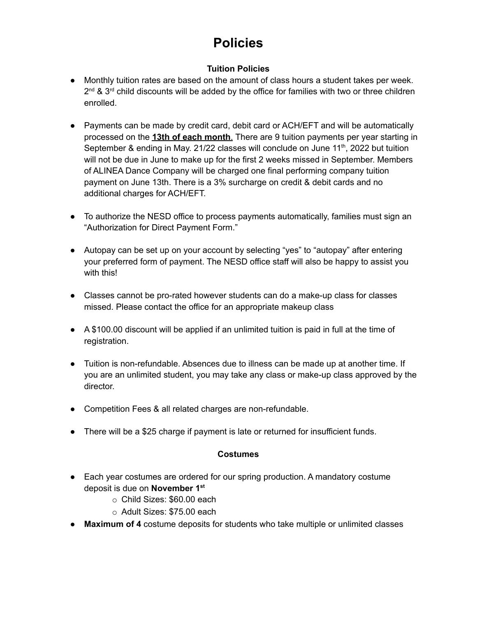# **Policies**

#### **Tuition Policies**

- Monthly tuition rates are based on the amount of class hours a student takes per week.  $2^{nd}$  &  $3^{rd}$  child discounts will be added by the office for families with two or three children enrolled.
- Payments can be made by credit card, debit card or ACH/EFT and will be automatically processed on the **13th of each month**. There are 9 tuition payments per year starting in September & ending in May. 21/22 classes will conclude on June 11<sup>th</sup>, 2022 but tuition will not be due in June to make up for the first 2 weeks missed in September. Members of ALINEA Dance Company will be charged one final performing company tuition payment on June 13th. There is a 3% surcharge on credit & debit cards and no additional charges for ACH/EFT.
- To authorize the NESD office to process payments automatically, families must sign an "Authorization for Direct Payment Form."
- Autopay can be set up on your account by selecting "yes" to "autopay" after entering your preferred form of payment. The NESD office staff will also be happy to assist you with this!
- Classes cannot be pro-rated however students can do a make-up class for classes missed. Please contact the office for an appropriate makeup class
- A \$100.00 discount will be applied if an unlimited tuition is paid in full at the time of registration.
- Tuition is non-refundable. Absences due to illness can be made up at another time. If you are an unlimited student, you may take any class or make-up class approved by the director.
- Competition Fees & all related charges are non-refundable.
- There will be a \$25 charge if payment is late or returned for insufficient funds.

#### **Costumes**

- Each year costumes are ordered for our spring production. A mandatory costume deposit is due on **November 1 st**
	- o Child Sizes: \$60.00 each
	- o Adult Sizes: \$75.00 each
- **Maximum of 4** costume deposits for students who take multiple or unlimited classes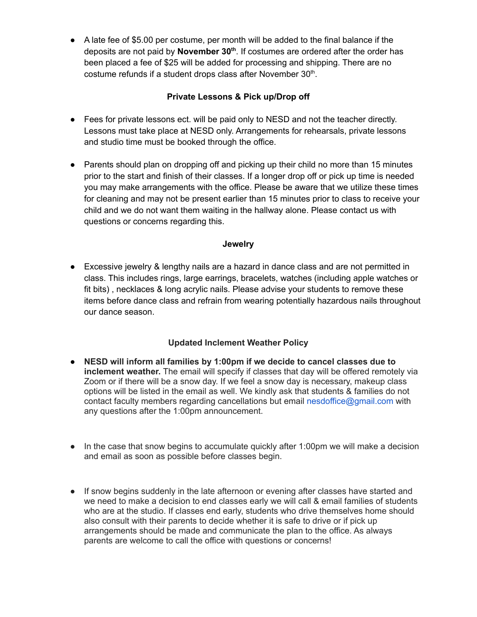● A late fee of \$5.00 per costume, per month will be added to the final balance if the deposits are not paid by **November 30 th** . If costumes are ordered after the order has been placed a fee of \$25 will be added for processing and shipping. There are no costume refunds if a student drops class after November 30<sup>th</sup>.

#### **Private Lessons & Pick up/Drop off**

- Fees for private lessons ect. will be paid only to NESD and not the teacher directly. Lessons must take place at NESD only. Arrangements for rehearsals, private lessons and studio time must be booked through the office.
- Parents should plan on dropping off and picking up their child no more than 15 minutes prior to the start and finish of their classes. If a longer drop off or pick up time is needed you may make arrangements with the office. Please be aware that we utilize these times for cleaning and may not be present earlier than 15 minutes prior to class to receive your child and we do not want them waiting in the hallway alone. Please contact us with questions or concerns regarding this.

#### **Jewelry**

• Excessive jewelry & lengthy nails are a hazard in dance class and are not permitted in class. This includes rings, large earrings, bracelets, watches (including apple watches or fit bits) , necklaces & long acrylic nails. Please advise your students to remove these items before dance class and refrain from wearing potentially hazardous nails throughout our dance season.

#### **Updated Inclement Weather Policy**

- **NESD will inform all families by 1:00pm if we decide to cancel classes due to inclement weather.** The email will specify if classes that day will be offered remotely via Zoom or if there will be a snow day. If we feel a snow day is necessary, makeup class options will be listed in the email as well. We kindly ask that students & families do not contact faculty members regarding cancellations but email nesdoffice@gmail.com with any questions after the 1:00pm announcement.
- In the case that snow begins to accumulate quickly after 1:00pm we will make a decision and email as soon as possible before classes begin.
- If snow begins suddenly in the late afternoon or evening after classes have started and we need to make a decision to end classes early we will call & email families of students who are at the studio. If classes end early, students who drive themselves home should also consult with their parents to decide whether it is safe to drive or if pick up arrangements should be made and communicate the plan to the office. As always parents are welcome to call the office with questions or concerns!